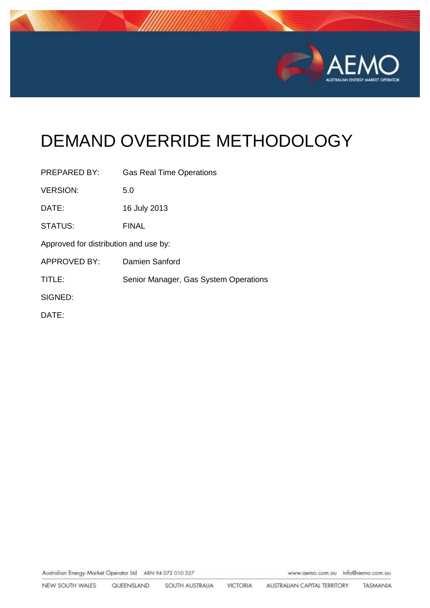

# DEMAND OVERRIDE METHODOLOGY

| PREPARED BY:                          | <b>Gas Real Time Operations</b>       |
|---------------------------------------|---------------------------------------|
| <b>VERSION:</b>                       | 5.0                                   |
| DATE:                                 | 16 July 2013                          |
| <b>STATUS:</b>                        | <b>FINAL</b>                          |
| Approved for distribution and use by: |                                       |
| APPROVED BY:                          | Damien Sanford                        |
| TITLE:                                | Senior Manager, Gas System Operations |
| SIGNED:                               |                                       |
| DATE:                                 |                                       |

Australian Energy Market Operator Ltd ABN 94 072 010 327

www.aemo.com.au info@aemo.com.au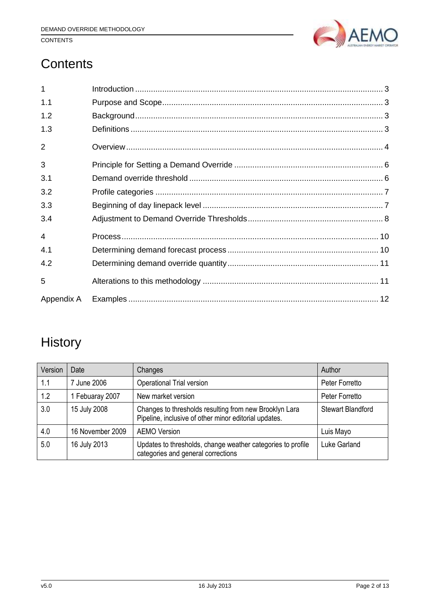

## **CONTENTS**

## **Contents**

| 1          |  |
|------------|--|
| 1.1        |  |
| 1.2        |  |
| 1.3        |  |
| 2          |  |
| 3          |  |
| 3.1        |  |
| 3.2        |  |
| 3.3        |  |
| 3.4        |  |
| 4          |  |
| 4.1        |  |
| 4.2        |  |
| 5          |  |
| Appendix A |  |

## **History**

| Version | Date             | Changes                                                                                                         | Author                   |
|---------|------------------|-----------------------------------------------------------------------------------------------------------------|--------------------------|
| 1.1     | June 2006        | Operational Trial version                                                                                       | Peter Forretto           |
| 1.2     | Febuaray 2007    | New market version                                                                                              | Peter Forretto           |
| 3.0     | 15 July 2008     | Changes to thresholds resulting from new Brooklyn Lara<br>Pipeline, inclusive of other minor editorial updates. | <b>Stewart Blandford</b> |
| 4.0     | 16 November 2009 | <b>AEMO Version</b>                                                                                             | Luis Mayo                |
| 5.0     | 16 July 2013     | Updates to thresholds, change weather categories to profile<br>categories and general corrections               | <b>Luke Garland</b>      |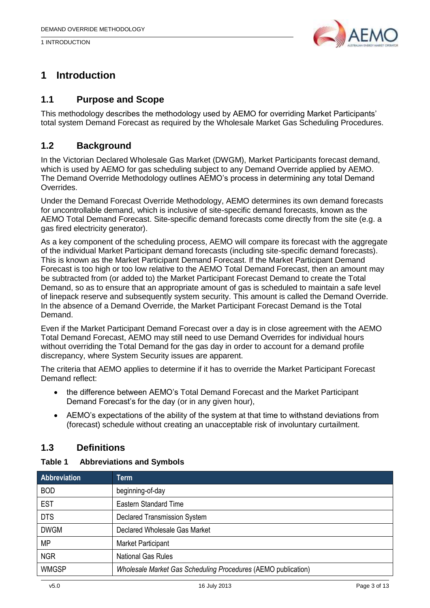1 INTRODUCTION



## <span id="page-2-0"></span>**1 Introduction**

## <span id="page-2-1"></span>**1.1 Purpose and Scope**

This methodology describes the methodology used by AEMO for overriding Market Participants' total system Demand Forecast as required by the Wholesale Market Gas Scheduling Procedures.

## <span id="page-2-2"></span>**1.2 Background**

In the Victorian Declared Wholesale Gas Market (DWGM), Market Participants forecast demand, which is used by AEMO for gas scheduling subject to any Demand Override applied by AEMO. The Demand Override Methodology outlines AEMO's process in determining any total Demand Overrides.

Under the Demand Forecast Override Methodology, AEMO determines its own demand forecasts for uncontrollable demand, which is inclusive of site-specific demand forecasts, known as the AEMO Total Demand Forecast. Site-specific demand forecasts come directly from the site (e.g. a gas fired electricity generator).

As a key component of the scheduling process, AEMO will compare its forecast with the aggregate of the individual Market Participant demand forecasts (including site-specific demand forecasts). This is known as the Market Participant Demand Forecast. If the Market Participant Demand Forecast is too high or too low relative to the AEMO Total Demand Forecast, then an amount may be subtracted from (or added to) the Market Participant Forecast Demand to create the Total Demand, so as to ensure that an appropriate amount of gas is scheduled to maintain a safe level of linepack reserve and subsequently system security. This amount is called the Demand Override. In the absence of a Demand Override, the Market Participant Forecast Demand is the Total Demand.

Even if the Market Participant Demand Forecast over a day is in close agreement with the AEMO Total Demand Forecast, AEMO may still need to use Demand Overrides for individual hours without overriding the Total Demand for the gas day in order to account for a demand profile discrepancy, where System Security issues are apparent.

The criteria that AEMO applies to determine if it has to override the Market Participant Forecast Demand reflect:

- the difference between AEMO's Total Demand Forecast and the Market Participant Demand Forecast's for the day (or in any given hour),
- AEMO's expectations of the ability of the system at that time to withstand deviations from (forecast) schedule without creating an unacceptable risk of involuntary curtailment.

## <span id="page-2-3"></span>**1.3 Definitions**

#### **Table 1 Abbreviations and Symbols**

| <b>Abbreviation</b> | Term                                                          |
|---------------------|---------------------------------------------------------------|
| <b>BOD</b>          | beginning-of-day                                              |
| <b>EST</b>          | <b>Eastern Standard Time</b>                                  |
| <b>DTS</b>          | <b>Declared Transmission System</b>                           |
| <b>DWGM</b>         | Declared Wholesale Gas Market                                 |
| <b>MP</b>           | Market Participant                                            |
| <b>NGR</b>          | <b>National Gas Rules</b>                                     |
| <b>WMGSP</b>        | Wholesale Market Gas Scheduling Procedures (AEMO publication) |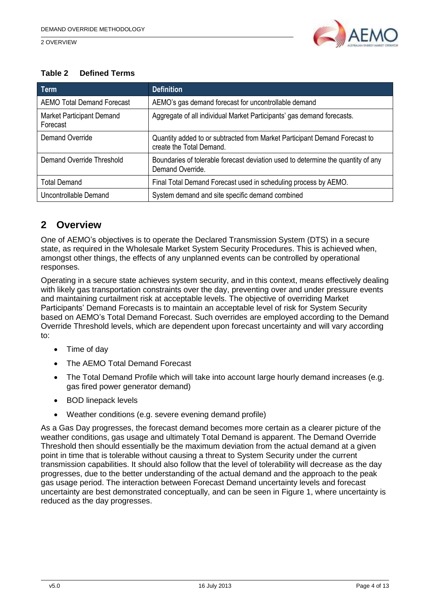2 OVERVIEW



#### **Table 2 Defined Terms**

| Term                                         | <b>Definition</b>                                                                                      |
|----------------------------------------------|--------------------------------------------------------------------------------------------------------|
| <b>AEMO Total Demand Forecast</b>            | AEMO's gas demand forecast for uncontrollable demand                                                   |
| <b>Market Participant Demand</b><br>Forecast | Aggregate of all individual Market Participants' gas demand forecasts.                                 |
| Demand Override                              | Quantity added to or subtracted from Market Participant Demand Forecast to<br>create the Total Demand. |
| Demand Override Threshold                    | Boundaries of tolerable forecast deviation used to determine the quantity of any<br>Demand Override.   |
| <b>Total Demand</b>                          | Final Total Demand Forecast used in scheduling process by AEMO.                                        |
| Uncontrollable Demand                        | System demand and site specific demand combined                                                        |

## <span id="page-3-0"></span>**2 Overview**

One of AEMO's objectives is to operate the Declared Transmission System (DTS) in a secure state, as required in the Wholesale Market System Security Procedures. This is achieved when, amongst other things, the effects of any unplanned events can be controlled by operational responses.

Operating in a secure state achieves system security, and in this context, means effectively dealing with likely gas transportation constraints over the day, preventing over and under pressure events and maintaining curtailment risk at acceptable levels. The objective of overriding Market Participants' Demand Forecasts is to maintain an acceptable level of risk for System Security based on AEMO's Total Demand Forecast. Such overrides are employed according to the Demand Override Threshold levels, which are dependent upon forecast uncertainty and will vary according to:

- Time of day
- The AEMO Total Demand Forecast
- The Total Demand Profile which will take into account large hourly demand increases (e.g. gas fired power generator demand)
- BOD linepack levels
- Weather conditions (e.g. severe evening demand profile)

As a Gas Day progresses, the forecast demand becomes more certain as a clearer picture of the weather conditions, gas usage and ultimately Total Demand is apparent. The Demand Override Threshold then should essentially be the maximum deviation from the actual demand at a given point in time that is tolerable without causing a threat to System Security under the current transmission capabilities. It should also follow that the level of tolerability will decrease as the day progresses, due to the better understanding of the actual demand and the approach to the peak gas usage period. The interaction between Forecast Demand uncertainty levels and forecast uncertainty are best demonstrated conceptually, and can be seen in [Figure 1,](#page-4-0) where uncertainty is reduced as the day progresses.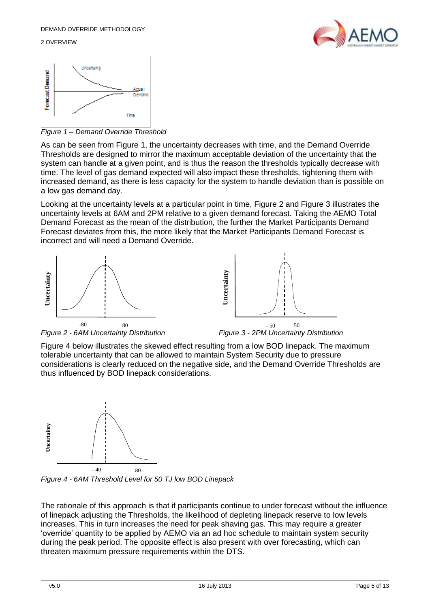#### 2 OVERVIEW





<span id="page-4-0"></span>*Figure 1 – Demand Override Threshold* 

As can be seen from [Figure 1,](#page-4-0) the uncertainty decreases with time, and the Demand Override Thresholds are designed to mirror the maximum acceptable deviation of the uncertainty that the system can handle at a given point, and is thus the reason the thresholds typically decrease with time. The level of gas demand expected will also impact these thresholds, tightening them with increased demand, as there is less capacity for the system to handle deviation than is possible on a low gas demand day.

Looking at the uncertainty levels at a particular point in time, [Figure 2](#page-4-1) and [Figure 3](#page-4-2) illustrates the uncertainty levels at 6AM and 2PM relative to a given demand forecast. Taking the AEMO Total Demand Forecast as the mean of the distribution, the further the Market Participants Demand Forecast deviates from this, the more likely that the Market Participants Demand Forecast is incorrect and will need a Demand Override.





<span id="page-4-1"></span>

<span id="page-4-2"></span><sup>50</sup><br>Figure 3 - 2PM Uncertainty Distribution

[Figure 4](#page-4-3) below illustrates the skewed effect resulting from a low BOD linepack. The maximum tolerable uncertainty that can be allowed to maintain System Security due to pressure considerations is clearly reduced on the negative side, and the Demand Override Thresholds are thus influenced by BOD linepack considerations.



<span id="page-4-3"></span>*Figure 4 - 6AM Threshold Level for 50 TJ low BOD Linepack*

The rationale of this approach is that if participants continue to under forecast without the influence of linepack adjusting the Thresholds, the likelihood of depleting linepack reserve to low levels increases. This in turn increases the need for peak shaving gas. This may require a greater 'override' quantity to be applied by AEMO via an ad hoc schedule to maintain system security during the peak period. The opposite effect is also present with over forecasting, which can threaten maximum pressure requirements within the DTS.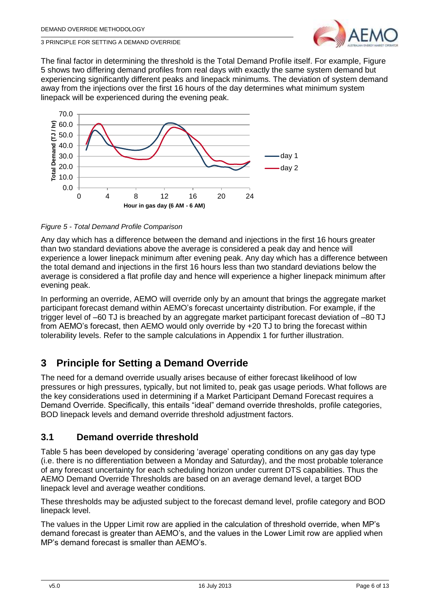

3 PRINCIPLE FOR SETTING A DEMAND OVERRIDE

The final factor in determining the threshold is the Total Demand Profile itself. For example, [Figure](#page-5-2)  [5](#page-5-2) shows two differing demand profiles from real days with exactly the same system demand but experiencing significantly different peaks and linepack minimums. The deviation of system demand away from the injections over the first 16 hours of the day determines what minimum system linepack will be experienced during the evening peak.



<span id="page-5-2"></span>*Figure 5 - Total Demand Profile Comparison*

Any day which has a difference between the demand and injections in the first 16 hours greater than two standard deviations above the average is considered a peak day and hence will experience a lower linepack minimum after evening peak. Any day which has a difference between the total demand and injections in the first 16 hours less than two standard deviations below the average is considered a flat profile day and hence will experience a higher linepack minimum after evening peak.

In performing an override, AEMO will override only by an amount that brings the aggregate market participant forecast demand within AEMO's forecast uncertainty distribution. For example, if the trigger level of –60 TJ is breached by an aggregate market participant forecast deviation of –80 TJ from AEMO's forecast, then AEMO would only override by +20 TJ to bring the forecast within tolerability levels. Refer to the sample calculations in Appendix 1 for further illustration.

## <span id="page-5-0"></span>**3 Principle for Setting a Demand Override**

The need for a demand override usually arises because of either forecast likelihood of low pressures or high pressures, typically, but not limited to, peak gas usage periods. What follows are the key considerations used in determining if a Market Participant Demand Forecast requires a Demand Override. Specifically, this entails "ideal" demand override thresholds, profile categories, BOD linepack levels and demand override threshold adjustment factors.

## <span id="page-5-1"></span>**3.1 Demand override threshold**

[Table 5](#page-6-2) has been developed by considering 'average' operating conditions on any gas day type (i.e. there is no differentiation between a Monday and Saturday), and the most probable tolerance of any forecast uncertainty for each scheduling horizon under current DTS capabilities. Thus the AEMO Demand Override Thresholds are based on an average demand level, a target BOD linepack level and average weather conditions.

These thresholds may be adjusted subject to the forecast demand level, profile category and BOD linepack level.

The values in the Upper Limit row are applied in the calculation of threshold override, when MP's demand forecast is greater than AEMO's, and the values in the Lower Limit row are applied when MP's demand forecast is smaller than AEMO's.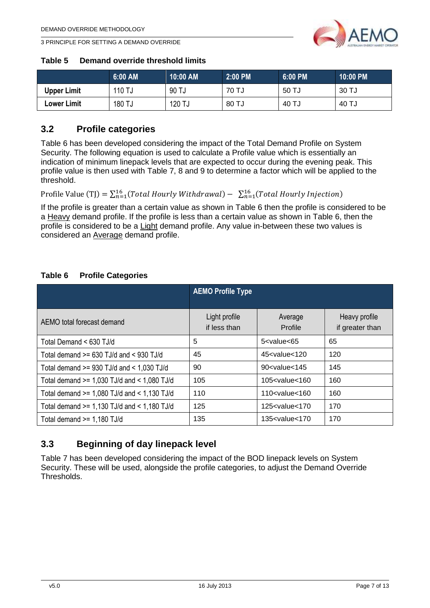

3 PRINCIPLE FOR SETTING A DEMAND OVERRIDE

#### <span id="page-6-2"></span>**Table 5 Demand override threshold limits**

|                    | 6:00 AM   | 10:00 AM | 2:00 PM | <b>6:00 PM</b> | 10:00 PM |
|--------------------|-----------|----------|---------|----------------|----------|
| <b>Upper Limit</b> | 110 TJ    | 90 TJ    | 70 TJ   | 50 TJ          | 30 TJ    |
| <b>Lower Limit</b> | 180<br>TJ | 120 TJ   | 80 TJ   | 40 TJ          | 40 TJ    |

### <span id="page-6-0"></span>**3.2 Profile categories**

[Table 6](#page-6-3) has been developed considering the impact of the Total Demand Profile on System Security. The following equation is used to calculate a Profile value which is essentially an indication of minimum linepack levels that are expected to occur during the evening peak. This profile value is then used with Table 7, 8 and 9 to determine a factor which will be applied to the threshold.

Profile Value (TJ) =  $\sum_{n=1}^{16} (Total\,Hourly\,Withdrawal) - \sum_{n=1}^{16} (Total\,Hourly\,Injection)$ 

If the profile is greater than a certain value as shown in [Table 6](#page-6-3) then the profile is considered to be a Heavy demand profile. If the profile is less than a certain value as shown in [Table 6,](#page-6-3) then the profile is considered to be a Light demand profile. Any value in-between these two values is considered an Average demand profile.

#### <span id="page-6-3"></span>**Table 6 Profile Categories**

|                                                 | <b>AEMO Profile Type</b>      |                                                 |                                  |
|-------------------------------------------------|-------------------------------|-------------------------------------------------|----------------------------------|
|                                                 |                               |                                                 |                                  |
| AEMO total forecast demand                      | Light profile<br>if less than | Average<br>Profile                              | Heavy profile<br>if greater than |
| Total Demand < 630 TJ/d                         | 5                             | $5$ <value<65< td=""><td>65</td></value<65<>    | 65                               |
| Total demand $>= 630$ TJ/d and $< 930$ TJ/d     | 45                            | $45 <$ value $<$ 120                            | 120                              |
| Total demand $>= 930$ TJ/d and $< 1.030$ TJ/d   | 90                            | $90 <$ value $<$ 145                            | 145                              |
| Total demand $>= 1,030$ TJ/d and $< 1,080$ TJ/d | 105                           | $105$ <value <="" <math="">160</value>          | 160                              |
| Total demand $>= 1,080$ TJ/d and $< 1,130$ TJ/d | 110                           | $110 <$ value $< 160$                           | 160                              |
| Total demand $>= 1,130$ TJ/d and $< 1,180$ TJ/d | 125                           | 125 <value<170< td=""><td>170</td></value<170<> | 170                              |
| Total demand $>= 1,180$ TJ/d                    | 135                           | 135 <value<170< td=""><td>170</td></value<170<> | 170                              |

### <span id="page-6-1"></span>**3.3 Beginning of day linepack level**

[Table 7](#page-7-1) has been developed considering the impact of the BOD linepack levels on System Security. These will be used, alongside the profile categories, to adjust the Demand Override Thresholds.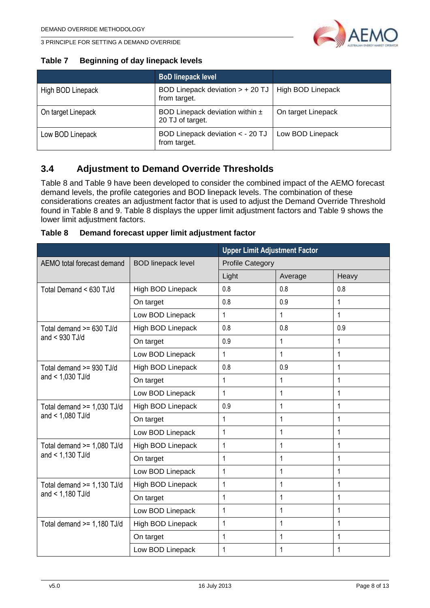

3 PRINCIPLE FOR SETTING A DEMAND OVERRIDE

#### <span id="page-7-1"></span>**Table 7 Beginning of day linepack levels**

|                    | <b>BoD linepack level</b>                               |                    |
|--------------------|---------------------------------------------------------|--------------------|
| High BOD Linepack  | BOD Linepack deviation $>$ + 20 TJ<br>from target.      | High BOD Linepack  |
| On target Linepack | BOD Linepack deviation within $\pm$<br>20 TJ of target. | On target Linepack |
| Low BOD Linepack   | BOD Linepack deviation < - 20 TJ<br>from target.        | Low BOD Linepack   |

## <span id="page-7-0"></span>**3.4 Adjustment to Demand Override Thresholds**

[Table 8](#page-7-2) and [Table 9](#page-8-0) have been developed to consider the combined impact of the AEMO forecast demand levels, the profile categories and BOD linepack levels. The combination of these considerations creates an adjustment factor that is used to adjust the Demand Override Threshold found in Table 8 and 9. [Table 8](#page-7-2) displays the upper limit adjustment factors and [Table 9](#page-8-0) shows the lower limit adjustment factors.

<span id="page-7-2"></span>

| Table 8 | Demand forecast upper limit adjustment factor |  |  |
|---------|-----------------------------------------------|--|--|
|---------|-----------------------------------------------|--|--|

|                                                         |                   | <b>Upper Limit Adjustment Factor</b> |              |              |
|---------------------------------------------------------|-------------------|--------------------------------------|--------------|--------------|
| <b>BOD linepack level</b><br>AEMO total forecast demand |                   | <b>Profile Category</b>              |              |              |
|                                                         |                   | Light                                | Average      | Heavy        |
| Total Demand < 630 TJ/d                                 | High BOD Linepack | 0.8                                  | 0.8          | 0.8          |
|                                                         | On target         | 0.8                                  | 0.9          | 1            |
|                                                         | Low BOD Linepack  | 1                                    | 1            | $\mathbf{1}$ |
| Total demand >= 630 TJ/d                                | High BOD Linepack | 0.8                                  | 0.8          | 0.9          |
| and $<$ 930 TJ/d                                        | On target         | 0.9                                  | 1            | 1            |
|                                                         | Low BOD Linepack  | $\mathbf{1}$                         | 1            | 1            |
| Total demand >= 930 TJ/d                                | High BOD Linepack | 0.8                                  | 0.9          | 1            |
| and < 1,030 TJ/d                                        | On target         | $\mathbf{1}$                         | 1            | 1            |
|                                                         | Low BOD Linepack  | $\mathbf{1}$                         | $\mathbf{1}$ | $\mathbf{1}$ |
| Total demand $>= 1,030$ TJ/d<br>and $<$ 1,080 TJ/d      | High BOD Linepack | 0.9                                  | $\mathbf{1}$ | $\mathbf{1}$ |
|                                                         | On target         | $\mathbf{1}$                         | $\mathbf{1}$ | 1            |
|                                                         | Low BOD Linepack  | $\mathbf{1}$                         | 1            | 1            |
| Total demand $>= 1,080$ TJ/d                            | High BOD Linepack | $\mathbf{1}$                         | 1            | $\mathbf{1}$ |
| and $< 1,130$ TJ/d                                      | On target         | 1                                    | 1            | 1            |
|                                                         | Low BOD Linepack  | $\mathbf{1}$                         | 1            | 1            |
| Total demand $>= 1,130$ TJ/d                            | High BOD Linepack | $\mathbf{1}$                         | 1            | $\mathbf{1}$ |
| and $<$ 1,180 TJ/d                                      | On target         | 1                                    | 1            | 1            |
|                                                         | Low BOD Linepack  | $\mathbf{1}$                         | 1            | $\mathbf{1}$ |
| Total demand $>= 1,180$ TJ/d                            | High BOD Linepack | 1                                    | 1            | 1            |
|                                                         | On target         | $\mathbf{1}$                         | 1            | $\mathbf{1}$ |
|                                                         | Low BOD Linepack  | 1                                    | 1            | 1            |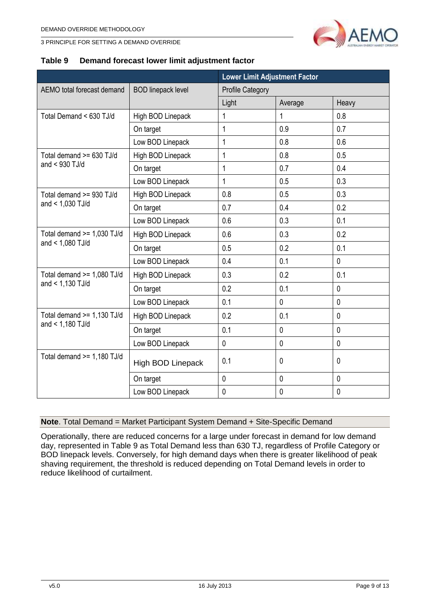



#### <span id="page-8-0"></span>**Table 9 Demand forecast lower limit adjustment factor**

|                                                  |                           | <b>Lower Limit Adjustment Factor</b> |             |              |
|--------------------------------------------------|---------------------------|--------------------------------------|-------------|--------------|
| AEMO total forecast demand                       | <b>BOD linepack level</b> | <b>Profile Category</b>              |             |              |
|                                                  |                           | Light                                | Average     | Heavy        |
| Total Demand < 630 TJ/d                          | High BOD Linepack         | $\mathbf{1}$                         | 1           | 0.8          |
|                                                  | On target                 | 1                                    | 0.9         | 0.7          |
|                                                  | Low BOD Linepack          | $\mathbf{1}$                         | 0.8         | 0.6          |
| Total demand >= 630 TJ/d                         | High BOD Linepack         | 1                                    | 0.8         | 0.5          |
| and $<$ 930 TJ/d                                 | On target                 | $\mathbf{1}$                         | 0.7         | 0.4          |
|                                                  | Low BOD Linepack          | 1                                    | 0.5         | 0.3          |
| Total demand >= 930 TJ/d                         | High BOD Linepack         | 0.8                                  | 0.5         | 0.3          |
| and < 1,030 TJ/d                                 | On target                 | 0.7                                  | 0.4         | 0.2          |
|                                                  | Low BOD Linepack          | 0.6                                  | 0.3         | 0.1          |
| Total demand $>= 1,030$ TJ/d<br>and < 1,080 TJ/d | High BOD Linepack         | 0.6                                  | 0.3         | 0.2          |
|                                                  | On target                 | 0.5                                  | 0.2         | 0.1          |
|                                                  | Low BOD Linepack          | 0.4                                  | 0.1         | $\mathbf{0}$ |
| Total demand $>= 1,080$ TJ/d<br>and < 1,130 TJ/d | High BOD Linepack         | 0.3                                  | 0.2         | 0.1          |
|                                                  | On target                 | 0.2                                  | 0.1         | $\mathbf 0$  |
|                                                  | Low BOD Linepack          | 0.1                                  | $\mathbf 0$ | 0            |
| Total demand $>= 1,130$ TJ/d                     | High BOD Linepack         | 0.2                                  | 0.1         | $\mathbf 0$  |
| and $< 1,180$ TJ/d                               | On target                 | 0.1                                  | 0           | $\mathbf{0}$ |
|                                                  | Low BOD Linepack          | $\mathbf 0$                          | $\mathbf 0$ | $\mathbf 0$  |
| Total demand $>= 1,180$ TJ/d                     | <b>High BOD Linepack</b>  | 0.1                                  | $\mathbf 0$ | 0            |
|                                                  | On target                 | $\mathbf 0$                          | $\mathbf 0$ | $\mathbf{0}$ |
|                                                  | Low BOD Linepack          | $\mathbf 0$                          | $\mathbf 0$ | $\mathbf 0$  |

#### **Note**. Total Demand = Market Participant System Demand + Site-Specific Demand

Operationally, there are reduced concerns for a large under forecast in demand for low demand day, represented in [Table 9](#page-8-0) as Total Demand less than 630 TJ, regardless of Profile Category or BOD linepack levels. Conversely, for high demand days when there is greater likelihood of peak shaving requirement, the threshold is reduced depending on Total Demand levels in order to reduce likelihood of curtailment.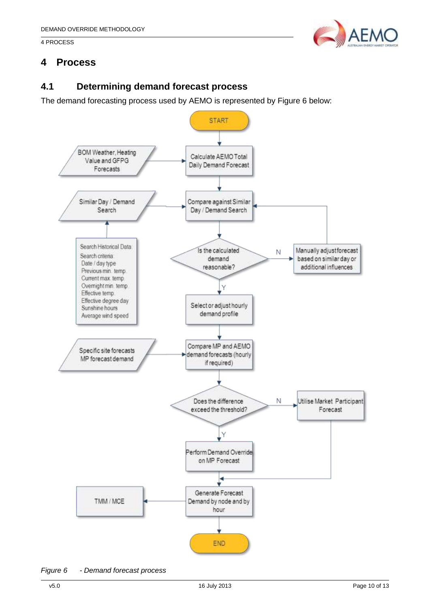#### 4 PROCESS



## <span id="page-9-0"></span>**4 Process**

## <span id="page-9-1"></span>**4.1 Determining demand forecast process**

The demand forecasting process used by AEMO is represented by [Figure 6](#page-9-2) below:



<span id="page-9-2"></span>*Figure 6 - Demand forecast process*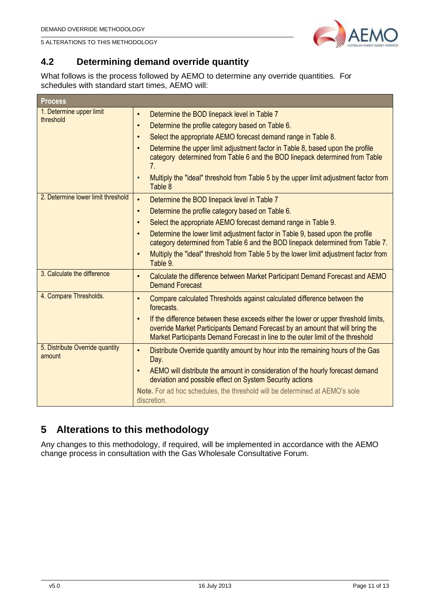



## <span id="page-10-0"></span>**4.2 Determining demand override quantity**

What follows is the process followed by AEMO to determine any override quantities. For schedules with standard start times, AEMO will:

| <b>Process</b>                            |                                                                                                                                                                                                                                                                                                                                                                                                                                                                                                              |
|-------------------------------------------|--------------------------------------------------------------------------------------------------------------------------------------------------------------------------------------------------------------------------------------------------------------------------------------------------------------------------------------------------------------------------------------------------------------------------------------------------------------------------------------------------------------|
| 1. Determine upper limit<br>threshold     | Determine the BOD linepack level in Table 7<br>$\bullet$<br>Determine the profile category based on Table 6.<br>$\bullet$<br>Select the appropriate AEMO forecast demand range in Table 8.<br>$\bullet$<br>Determine the upper limit adjustment factor in Table 8, based upon the profile<br>$\bullet$<br>category determined from Table 6 and the BOD linepack determined from Table<br>7.<br>Multiply the "ideal" threshold from Table 5 by the upper limit adjustment factor from<br>$\bullet$<br>Table 8 |
| 2. Determine lower limit threshold        | Determine the BOD linepack level in Table 7<br>$\bullet$<br>Determine the profile category based on Table 6.<br>$\bullet$<br>Select the appropriate AEMO forecast demand range in Table 9.<br>$\bullet$<br>Determine the lower limit adjustment factor in Table 9, based upon the profile<br>$\bullet$<br>category determined from Table 6 and the BOD linepack determined from Table 7.<br>Multiply the "ideal" threshold from Table 5 by the lower limit adjustment factor from<br>$\bullet$<br>Table 9.   |
| 3. Calculate the difference               | Calculate the difference between Market Participant Demand Forecast and AEMO<br>$\bullet$<br><b>Demand Forecast</b>                                                                                                                                                                                                                                                                                                                                                                                          |
| 4. Compare Thresholds.                    | Compare calculated Thresholds against calculated difference between the<br>$\bullet$<br>forecasts.<br>If the difference between these exceeds either the lower or upper threshold limits,<br>$\bullet$<br>override Market Participants Demand Forecast by an amount that will bring the<br>Market Participants Demand Forecast in line to the outer limit of the threshold                                                                                                                                   |
| 5. Distribute Override quantity<br>amount | Distribute Override quantity amount by hour into the remaining hours of the Gas<br>$\bullet$<br>Day.<br>AEMO will distribute the amount in consideration of the hourly forecast demand<br>$\bullet$<br>deviation and possible effect on System Security actions<br>Note. For ad hoc schedules, the threshold will be determined at AEMO's sole<br>discretion.                                                                                                                                                |

## <span id="page-10-1"></span>**5 Alterations to this methodology**

Any changes to this methodology, if required, will be implemented in accordance with the AEMO change process in consultation with the Gas Wholesale Consultative Forum.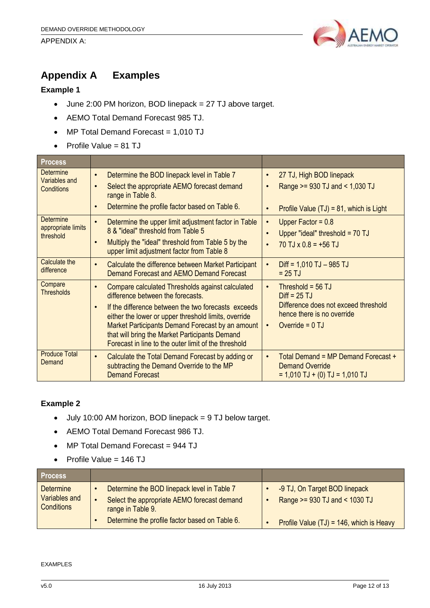#### APPENDIX A:



## <span id="page-11-0"></span>**Appendix A Examples**

#### **Example 1**

- June 2:00 PM horizon, BOD linepack = 27 TJ above target.
- AEMO Total Demand Forecast 985 TJ.
- MP Total Demand Forecast = 1,010 TJ
- Profile Value =  $81$  TJ

|  | <b>Process</b>                                         |                                                                                                                                                                                                                                                                                                                                                                                              |                                                                                                                                                            |
|--|--------------------------------------------------------|----------------------------------------------------------------------------------------------------------------------------------------------------------------------------------------------------------------------------------------------------------------------------------------------------------------------------------------------------------------------------------------------|------------------------------------------------------------------------------------------------------------------------------------------------------------|
|  | Determine<br><b>Variables and</b><br><b>Conditions</b> | Determine the BOD linepack level in Table 7<br>$\bullet$<br>Select the appropriate AEMO forecast demand<br>$\bullet$<br>range in Table 8.<br>Determine the profile factor based on Table 6.<br>$\bullet$                                                                                                                                                                                     | 27 TJ, High BOD linepack<br>$\bullet$<br>Range >= 930 TJ and < 1,030 TJ<br>Profile Value $(TJ) = 81$ , which is Light                                      |
|  | <b>Determine</b><br>appropriate limits<br>threshold    | Determine the upper limit adjustment factor in Table<br>$\bullet$<br>8 & "ideal" threshold from Table 5<br>Multiply the "ideal" threshold from Table 5 by the<br>$\bullet$<br>upper limit adjustment factor from Table 8                                                                                                                                                                     | Upper Factor = $0.8$<br>$\bullet$<br>Upper "ideal" threshold = $70$ TJ<br>$70$ TJ x 0.8 = +56 TJ<br>$\bullet$                                              |
|  | Calculate the<br>difference                            | Calculate the difference between Market Participant<br>$\bullet$<br>Demand Forecast and AEMO Demand Forecast                                                                                                                                                                                                                                                                                 | $Diff = 1,010$ TJ $-985$ TJ<br>$\bullet$<br>$= 25$ TJ                                                                                                      |
|  | Compare<br><b>Thresholds</b>                           | Compare calculated Thresholds against calculated<br>$\bullet$<br>difference between the forecasts.<br>If the difference between the two forecasts exceeds<br>$\bullet$<br>either the lower or upper threshold limits, override<br>Market Participants Demand Forecast by an amount<br>that will bring the Market Participants Demand<br>Forecast in line to the outer limit of the threshold | Threshold = $56$ TJ<br>$\bullet$<br>$Diff = 25 TJ$<br>Difference does not exceed threshold<br>hence there is no override<br>Override = $0$ TJ<br>$\bullet$ |
|  | <b>Produce Total</b><br>Demand                         | Calculate the Total Demand Forecast by adding or<br>$\bullet$<br>subtracting the Demand Override to the MP<br><b>Demand Forecast</b>                                                                                                                                                                                                                                                         | Total Demand = MP Demand Forecast +<br><b>Demand Override</b><br>$= 1,010$ TJ + (0) TJ = 1,010 TJ                                                          |

#### **Example 2**

- July 10:00 AM horizon, BOD linepack = 9 TJ below target.
- AEMO Total Demand Forecast 986 TJ.
- MP Total Demand Forecast = 944 TJ
- $\bullet$  Profile Value = 146 TJ

| <b>Process</b>                                         |                                                                                                                 |                                                                |
|--------------------------------------------------------|-----------------------------------------------------------------------------------------------------------------|----------------------------------------------------------------|
| <b>Determine</b><br>Variables and<br><b>Conditions</b> | Determine the BOD linepack level in Table 7<br>Select the appropriate AEMO forecast demand<br>range in Table 9. | -9 TJ, On Target BOD linepack<br>Range >= 930 TJ and < 1030 TJ |
|                                                        | Determine the profile factor based on Table 6.                                                                  | Profile Value $(TJ) = 146$ , which is Heavy                    |

EXAMPLES